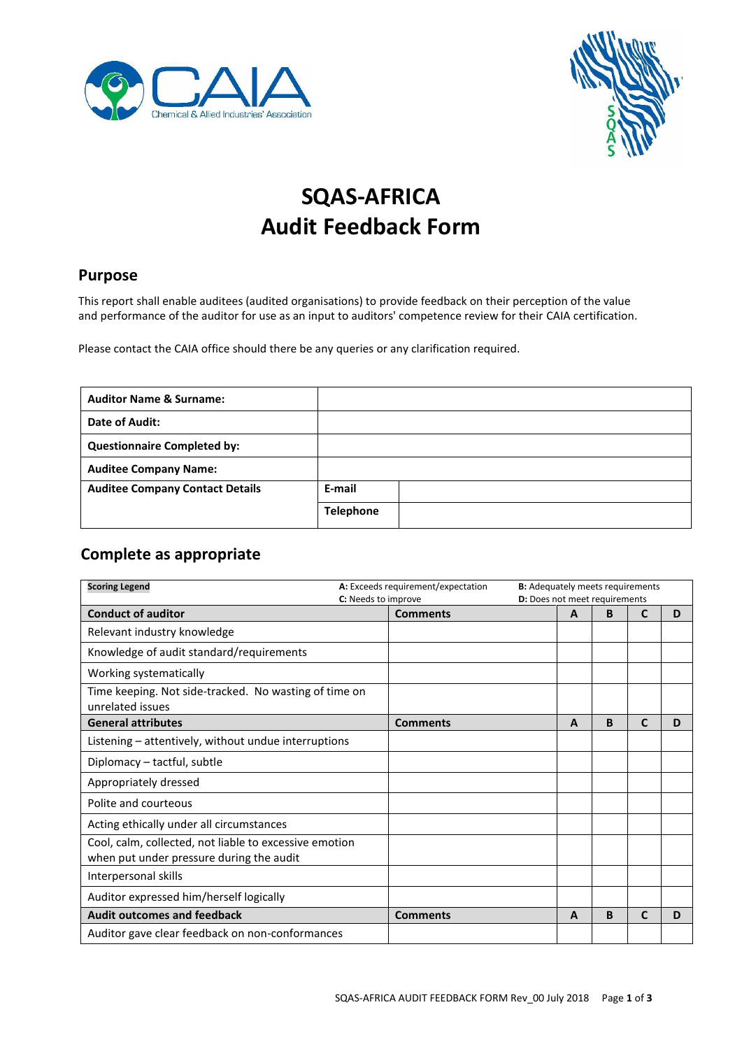



# **SQAS-AFRICA Audit Feedback Form**

#### **Purpose**

This report shall enable auditees (audited organisations) to provide feedback on their perception of the value and performance of the auditor for use as an input to auditors' competence review for their CAIA certification.

Please contact the CAIA office should there be any queries or any clarification required.

| <b>Auditor Name &amp; Surname:</b>     |                  |
|----------------------------------------|------------------|
| Date of Audit:                         |                  |
| <b>Questionnaire Completed by:</b>     |                  |
| <b>Auditee Company Name:</b>           |                  |
| <b>Auditee Company Contact Details</b> | E-mail           |
|                                        | <b>Telephone</b> |

### **Complete as appropriate**

| <b>Scoring Legend</b>                                                                              | A: Exceeds requirement/expectation     |   | <b>B:</b> Adequately meets requirements<br><b>D:</b> Does not meet requirements |              |   |
|----------------------------------------------------------------------------------------------------|----------------------------------------|---|---------------------------------------------------------------------------------|--------------|---|
| <b>Conduct of auditor</b>                                                                          | C: Needs to improve<br><b>Comments</b> | A | B                                                                               | $\mathbf{C}$ | D |
| Relevant industry knowledge                                                                        |                                        |   |                                                                                 |              |   |
| Knowledge of audit standard/requirements                                                           |                                        |   |                                                                                 |              |   |
| Working systematically                                                                             |                                        |   |                                                                                 |              |   |
| Time keeping. Not side-tracked. No wasting of time on<br>unrelated issues                          |                                        |   |                                                                                 |              |   |
| <b>General attributes</b>                                                                          | <b>Comments</b>                        | A | B                                                                               | C            | D |
| Listening – attentively, without undue interruptions                                               |                                        |   |                                                                                 |              |   |
| Diplomacy - tactful, subtle                                                                        |                                        |   |                                                                                 |              |   |
| Appropriately dressed                                                                              |                                        |   |                                                                                 |              |   |
| Polite and courteous                                                                               |                                        |   |                                                                                 |              |   |
| Acting ethically under all circumstances                                                           |                                        |   |                                                                                 |              |   |
| Cool, calm, collected, not liable to excessive emotion<br>when put under pressure during the audit |                                        |   |                                                                                 |              |   |
| Interpersonal skills                                                                               |                                        |   |                                                                                 |              |   |
| Auditor expressed him/herself logically                                                            |                                        |   |                                                                                 |              |   |
| <b>Audit outcomes and feedback</b>                                                                 | <b>Comments</b>                        | A | B                                                                               | $\mathbf{C}$ | D |
| Auditor gave clear feedback on non-conformances                                                    |                                        |   |                                                                                 |              |   |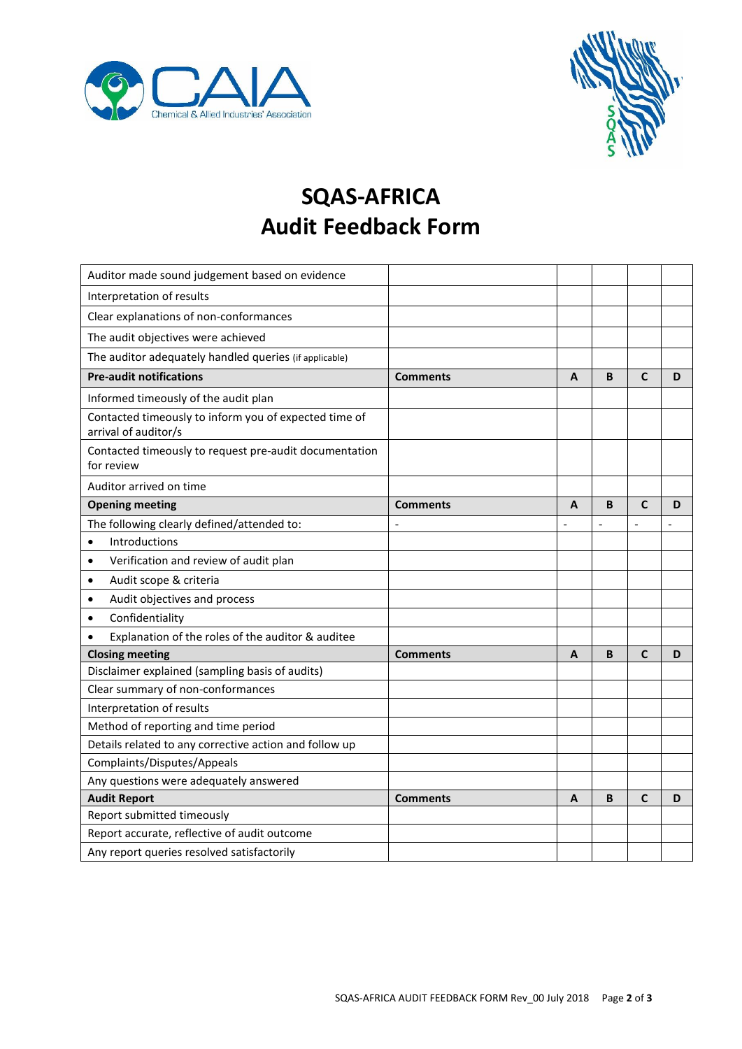



### **SQAS-AFRICA Audit Feedback Form**

| Auditor made sound judgement based on evidence                                |                 |                |                |                |   |
|-------------------------------------------------------------------------------|-----------------|----------------|----------------|----------------|---|
| Interpretation of results                                                     |                 |                |                |                |   |
| Clear explanations of non-conformances                                        |                 |                |                |                |   |
| The audit objectives were achieved                                            |                 |                |                |                |   |
| The auditor adequately handled queries (if applicable)                        |                 |                |                |                |   |
| <b>Pre-audit notifications</b>                                                | <b>Comments</b> | A              | B              | $\mathbf C$    | D |
| Informed timeously of the audit plan                                          |                 |                |                |                |   |
| Contacted timeously to inform you of expected time of<br>arrival of auditor/s |                 |                |                |                |   |
| Contacted timeously to request pre-audit documentation<br>for review          |                 |                |                |                |   |
| Auditor arrived on time                                                       |                 |                |                |                |   |
| <b>Opening meeting</b>                                                        | <b>Comments</b> | A              | B              | $\mathbf C$    | D |
| The following clearly defined/attended to:                                    | $\overline{a}$  | $\overline{a}$ | $\overline{a}$ | $\overline{a}$ |   |
| Introductions<br>$\bullet$                                                    |                 |                |                |                |   |
| Verification and review of audit plan<br>$\bullet$                            |                 |                |                |                |   |
| Audit scope & criteria<br>٠                                                   |                 |                |                |                |   |
| Audit objectives and process<br>$\bullet$                                     |                 |                |                |                |   |
| Confidentiality<br>$\bullet$                                                  |                 |                |                |                |   |
| Explanation of the roles of the auditor & auditee<br>$\bullet$                |                 |                |                |                |   |
| <b>Closing meeting</b>                                                        | <b>Comments</b> | A              | B              | $\mathbf{C}$   | D |
| Disclaimer explained (sampling basis of audits)                               |                 |                |                |                |   |
| Clear summary of non-conformances                                             |                 |                |                |                |   |
| Interpretation of results                                                     |                 |                |                |                |   |
| Method of reporting and time period                                           |                 |                |                |                |   |
| Details related to any corrective action and follow up                        |                 |                |                |                |   |
| Complaints/Disputes/Appeals                                                   |                 |                |                |                |   |
| Any questions were adequately answered                                        |                 |                |                |                |   |
| <b>Audit Report</b>                                                           | <b>Comments</b> | A              | B              | $\mathbf{C}$   | D |
| Report submitted timeously                                                    |                 |                |                |                |   |
| Report accurate, reflective of audit outcome                                  |                 |                |                |                |   |
| Any report queries resolved satisfactorily                                    |                 |                |                |                |   |